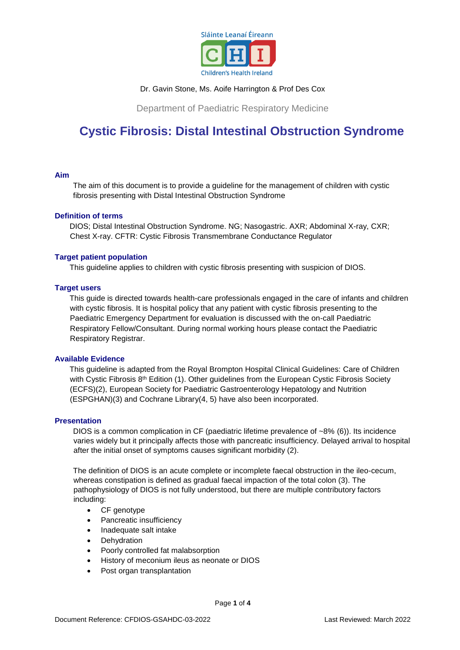

## Dr. Gavin Stone, Ms. Aoife Harrington & Prof Des Cox

Department of Paediatric Respiratory Medicine

# **Cystic Fibrosis: Distal Intestinal Obstruction Syndrome**

## **Aim**

The aim of this document is to provide a guideline for the management of children with cystic fibrosis presenting with Distal Intestinal Obstruction Syndrome

## **Definition of terms**

DIOS; Distal Intestinal Obstruction Syndrome. NG; Nasogastric. AXR; Abdominal X-ray, CXR; Chest X-ray. CFTR: Cystic Fibrosis Transmembrane Conductance Regulator

#### **Target patient population**

This guideline applies to children with cystic fibrosis presenting with suspicion of DIOS.

## **Target users**

This guide is directed towards health-care professionals engaged in the care of infants and children with cystic fibrosis. It is hospital policy that any patient with cystic fibrosis presenting to the Paediatric Emergency Department for evaluation is discussed with the on-call Paediatric Respiratory Fellow/Consultant. During normal working hours please contact the Paediatric Respiratory Registrar.

## **Available Evidence**

This guideline is adapted from the Royal Brompton Hospital Clinical Guidelines: Care of Children with Cystic Fibrosis 8<sup>th</sup> Edition (1). Other guidelines from the European Cystic Fibrosis Society (ECFS)(2), European Society for Paediatric Gastroenterology Hepatology and Nutrition (ESPGHAN)(3) and Cochrane Library(4, 5) have also been incorporated.

## **Presentation**

DIOS is a common complication in CF (paediatric lifetime prevalence of  $\sim$ 8% (6)). Its incidence varies widely but it principally affects those with pancreatic insufficiency. Delayed arrival to hospital after the initial onset of symptoms causes significant morbidity (2).

The definition of DIOS is an acute complete or incomplete faecal obstruction in the ileo-cecum, whereas constipation is defined as gradual faecal impaction of the total colon (3). The pathophysiology of DIOS is not fully understood, but there are multiple contributory factors including:

- CF genotype
- Pancreatic insufficiency
- Inadequate salt intake
- Dehydration
- Poorly controlled fat malabsorption
- History of meconium ileus as neonate or DIOS
- Post organ transplantation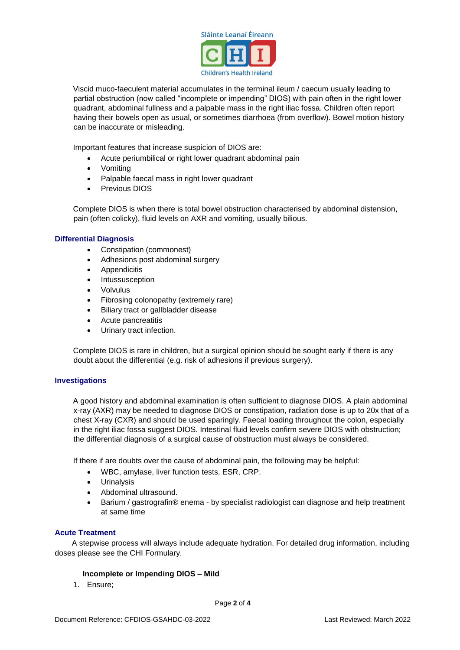

Viscid muco-faeculent material accumulates in the terminal ileum / caecum usually leading to partial obstruction (now called "incomplete or impending" DIOS) with pain often in the right lower quadrant, abdominal fullness and a palpable mass in the right iliac fossa. Children often report having their bowels open as usual, or sometimes diarrhoea (from overflow). Bowel motion history can be inaccurate or misleading.

Important features that increase suspicion of DIOS are:

- Acute periumbilical or right lower quadrant abdominal pain
- Vomiting
- Palpable faecal mass in right lower quadrant
- Previous DIOS

Complete DIOS is when there is total bowel obstruction characterised by abdominal distension, pain (often colicky), fluid levels on AXR and vomiting, usually bilious.

## **Differential Diagnosis**

- Constipation (commonest)
- Adhesions post abdominal surgery
- Appendicitis
- Intussusception
- Volvulus
- Fibrosing colonopathy (extremely rare)
- Biliary tract or gallbladder disease
- Acute pancreatitis
- Urinary tract infection.

Complete DIOS is rare in children, but a surgical opinion should be sought early if there is any doubt about the differential (e.g. risk of adhesions if previous surgery).

#### **Investigations**

A good history and abdominal examination is often sufficient to diagnose DIOS. A plain abdominal x-ray (AXR) may be needed to diagnose DIOS or constipation, radiation dose is up to 20x that of a chest X-ray (CXR) and should be used sparingly. Faecal loading throughout the colon, especially in the right iliac fossa suggest DIOS. Intestinal fluid levels confirm severe DIOS with obstruction; the differential diagnosis of a surgical cause of obstruction must always be considered.

If there if are doubts over the cause of abdominal pain, the following may be helpful:

- WBC, amylase, liver function tests, ESR, CRP.
- Urinalysis
- Abdominal ultrasound.
- Barium / gastrografin® enema by specialist radiologist can diagnose and help treatment at same time

#### **Acute Treatment**

 A stepwise process will always include adequate hydration. For detailed drug information, including doses please see the CHI Formulary.

#### **Incomplete or Impending DIOS – Mild**

1. Ensure;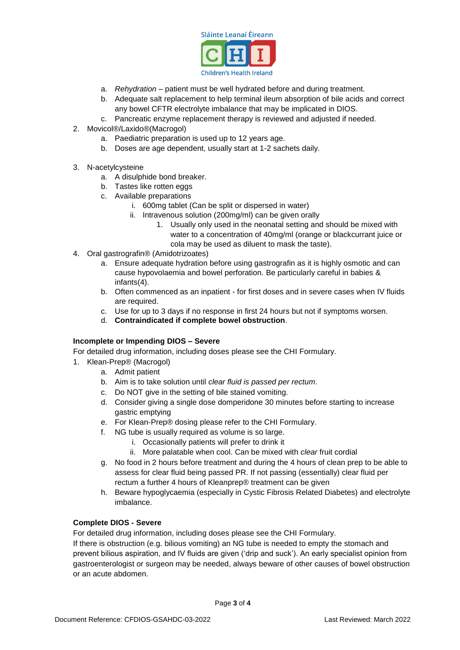

- a. *Rehydration* patient must be well hydrated before and during treatment.
- b. Adequate salt replacement to help terminal ileum absorption of bile acids and correct any bowel CFTR electrolyte imbalance that may be implicated in DIOS.
- c. Pancreatic enzyme replacement therapy is reviewed and adjusted if needed.
- 2. Movicol®/Laxido®(Macrogol)
	- a. Paediatric preparation is used up to 12 years age.
	- b. Doses are age dependent, usually start at 1-2 sachets daily.
- 3. N-acetylcysteine
	- a. A disulphide bond breaker.
	- b. Tastes like rotten eggs
	- c. Available preparations
		- i. 600mg tablet (Can be split or dispersed in water)
		- ii. Intravenous solution (200mg/ml) can be given orally
			- 1. Usually only used in the neonatal setting and should be mixed with water to a concentration of 40mg/ml (orange or blackcurrant juice or cola may be used as diluent to mask the taste).
- 4. Oral gastrografin® (Amidotrizoates)
	- a. Ensure adequate hydration before using gastrografin as it is highly osmotic and can cause hypovolaemia and bowel perforation. Be particularly careful in babies & infants(4).
	- b. Often commenced as an inpatient for first doses and in severe cases when IV fluids are required.
	- c. Use for up to 3 days if no response in first 24 hours but not if symptoms worsen.
	- d. **Contraindicated if complete bowel obstruction**.

## **Incomplete or Impending DIOS – Severe**

For detailed drug information, including doses please see the CHI Formulary.

- 1. Klean-Prep® (Macrogol)
	- a. Admit patient
	- b. Aim is to take solution until *clear fluid is passed per rectum*.
	- c. Do NOT give in the setting of bile stained vomiting.
	- d. Consider giving a single dose domperidone 30 minutes before starting to increase gastric emptying
	- e. For Klean-Prep® dosing please refer to the CHI Formulary.
	- f. NG tube is usually required as volume is so large.
		- i. Occasionally patients will prefer to drink it
		- ii. More palatable when cool. Can be mixed with *clear* fruit cordial
	- g. No food in 2 hours before treatment and during the 4 hours of clean prep to be able to assess for clear fluid being passed PR. If not passing (essentially) clear fluid per rectum a further 4 hours of Kleanprep® treatment can be given
	- h. Beware hypoglycaemia (especially in Cystic Fibrosis Related Diabetes) and electrolyte imbalance.

# **Complete DIOS - Severe**

For detailed drug information, including doses please see the CHI Formulary. If there is obstruction (e.g. bilious vomiting) an NG tube is needed to empty the stomach and

prevent bilious aspiration, and IV fluids are given ('drip and suck'). An early specialist opinion from gastroenterologist or surgeon may be needed, always beware of other causes of bowel obstruction or an acute abdomen.